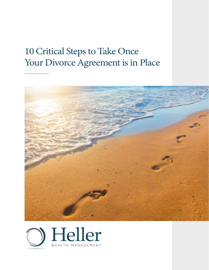## 10 Critical Steps to Take Once Your Divorce Agreement is in Place



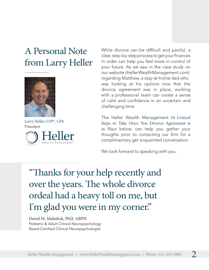## A Personal Note from Larry Heller

![](_page_1_Picture_1.jpeg)

Larry Heller, CFP®, CPA President teller While divorce can be difficult and painful, a clear, step-by-step process to get your finances in order can help you feel more in control of your future. As we saw in the case study on our website (HellerWealthManagement.com) regarding Matthew, a stay-at-home dad who was looking at his options now that the divorce agreement was in place, working with a professional team can create a sense of calm and confidence in an uncertain and challenging time.

The Heller Wealth Management 10 Critical Steps to Take Once You Divorce Agreement is in Place below, can help you gather your thoughts prior to contacting our firm for a complimentary get acquainted conversation.

We look forward to speaking with you.

"Thanks for your help recently and over the years. The whole divorce ordeal had a heavy toll on me, but I'm glad you were in my corner."

David M. Mahalick, PhD, ABPN Pediatric & Adult Clinical Neuropsychology Board-Certified Clinical Neuropsychologist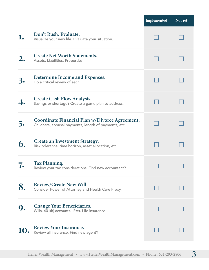|                       |                                                                                                         | Implemented | Not Yet |
|-----------------------|---------------------------------------------------------------------------------------------------------|-------------|---------|
|                       | Don't Rush. Evaluate.<br>Visualize your new life. Evaluate your situation.                              |             |         |
|                       | <b>Create Net Worth Statements.</b><br>Assets. Liabilities. Properties.                                 |             |         |
|                       | Determine Income and Expenses.<br>Do a critical review of each.                                         |             |         |
|                       | <b>Create Cash Flow Analysis.</b><br>Savings or shortage? Create a game plan to address.                |             |         |
| $\mathbf{\mathsf{b}}$ | Coordinate Financial Plan w/Divorce Agreement.<br>Childcare, spousal payments, length of payments, etc. |             |         |
| 6.                    | <b>Create an Investment Strategy.</b><br>Risk tolerance, time horizon, asset allocation, etc.           |             |         |
|                       | <b>Tax Planning.</b><br>Review your tax considerations. Find new accountant?                            |             |         |
|                       | <b>Review/Create New Will.</b><br>Consider Power of Attorney and Health Care Proxy.                     |             |         |
|                       | <b>Change Your Beneficiaries.</b><br>Wills. 401(k) accounts. IRAs. Life insurance.                      |             |         |
|                       | <b>Review Your Insurance.</b><br>Review all insurance. Find new agent?                                  |             |         |